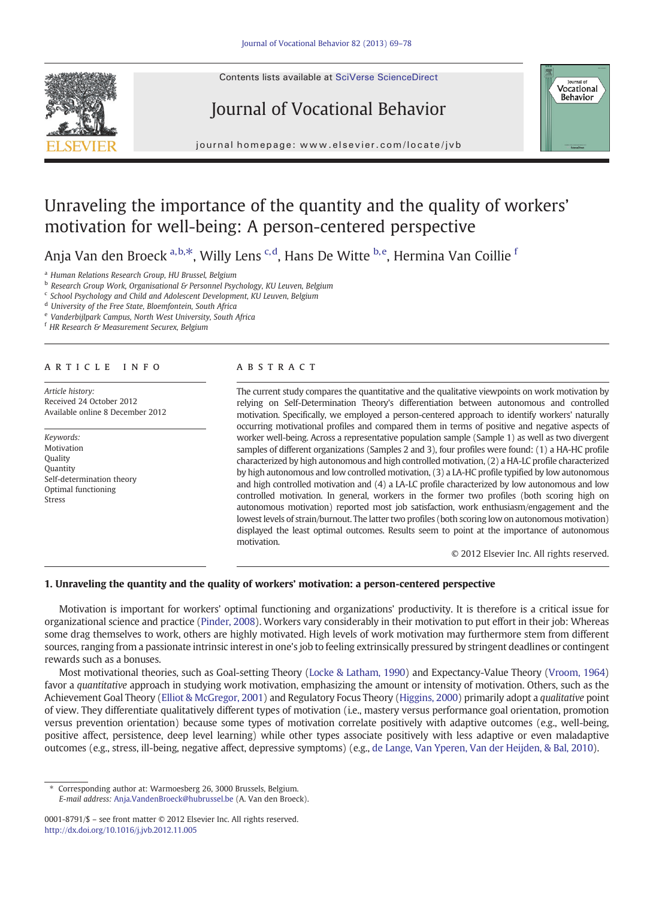Contents lists available at SciVerse ScienceDirect

## Journal of Vocational Behavior



journal homepage: www.elsevier.com/locate/jvbb/s/ $\frac{1}{2}$ 

## Unraveling the importance of the quantity and the quality of workers' motivation for well-being: A person-centered perspective

Anja Van den Broeck a, b,\*, Willy Lens c,d, Hans De Witte b,e, Hermina Van Coillie f

<sup>a</sup> Human Relations Research Group, HU Brussel, Belgium

b<br> **b** Research Group Work, Organisational & Personnel Psychology, KU Leuven, Belgium

<sup>c</sup> School Psychology and Child and Adolescent Development, KU Leuven, Belgium

<sup>d</sup> University of the Free State, Bloemfontein, South Africa

<sup>e</sup> Vanderbijlpark Campus, North West University, South Africa

f HR Research & Measurement Securex, Belgium

### article info abstract

Article history: Received 24 October 2012 Available online 8 December 2012

Keywords: Motivation **Ouality** Quantity Self-determination theory Optimal functioning Stress

The current study compares the quantitative and the qualitative viewpoints on work motivation by relying on Self-Determination Theory's differentiation between autonomous and controlled motivation. Specifically, we employed a person-centered approach to identify workers' naturally occurring motivational profiles and compared them in terms of positive and negative aspects of worker well-being. Across a representative population sample (Sample 1) as well as two divergent samples of different organizations (Samples 2 and 3), four profiles were found: (1) a HA-HC profile characterized by high autonomous and high controlled motivation, (2) a HA-LC profile characterized by high autonomous and low controlled motivation, (3) a LA-HC profile typified by low autonomous and high controlled motivation and (4) a LA-LC profile characterized by low autonomous and low controlled motivation. In general, workers in the former two profiles (both scoring high on autonomous motivation) reported most job satisfaction, work enthusiasm/engagement and the lowest levels of strain/burnout. The latter two profiles (both scoring low on autonomous motivation) displayed the least optimal outcomes. Results seem to point at the importance of autonomous motivation.

© 2012 Elsevier Inc. All rights reserved.

### 1. Unraveling the quantity and the quality of workers' motivation: a person-centered perspective

Motivation is important for workers' optimal functioning and organizations' productivity. It is therefore is a critical issue for organizational science and practice [\(Pinder, 2008\)](#page--1-0). Workers vary considerably in their motivation to put effort in their job: Whereas some drag themselves to work, others are highly motivated. High levels of work motivation may furthermore stem from different sources, ranging from a passionate intrinsic interest in one's job to feeling extrinsically pressured by stringent deadlines or contingent rewards such as a bonuses.

Most motivational theories, such as Goal-setting Theory [\(Locke & Latham, 1990\)](#page--1-0) and Expectancy-Value Theory [\(Vroom, 1964\)](#page--1-0) favor a quantitative approach in studying work motivation, emphasizing the amount or intensity of motivation. Others, such as the Achievement Goal Theory [\(Elliot & McGregor, 2001](#page--1-0)) and Regulatory Focus Theory [\(Higgins, 2000](#page--1-0)) primarily adopt a qualitative point of view. They differentiate qualitatively different types of motivation (i.e., mastery versus performance goal orientation, promotion versus prevention orientation) because some types of motivation correlate positively with adaptive outcomes (e.g., well-being, positive affect, persistence, deep level learning) while other types associate positively with less adaptive or even maladaptive outcomes (e.g., stress, ill-being, negative affect, depressive symptoms) (e.g., [de Lange, Van Yperen, Van der Heijden, & Bal, 2010\)](#page--1-0).

<sup>⁎</sup> Corresponding author at: Warmoesberg 26, 3000 Brussels, Belgium. E-mail address: [Anja.VandenBroeck@hubrussel.be](mailto:Anja.VandenBroeck@hubrussel.be) (A. Van den Broeck).

<sup>0001-8791/\$</sup> – see front matter © 2012 Elsevier Inc. All rights reserved. <http://dx.doi.org/10.1016/j.jvb.2012.11.005>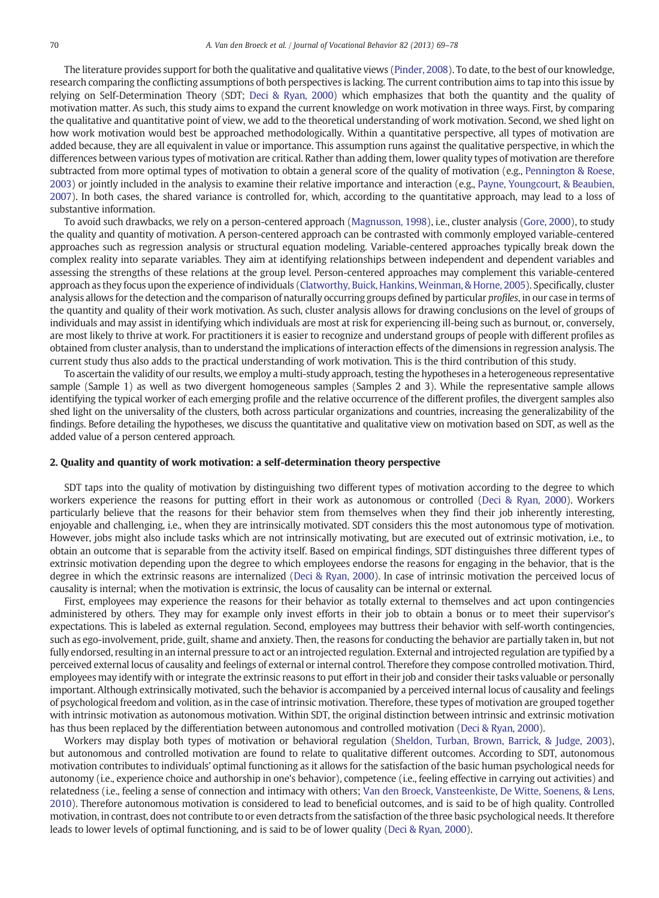The literature provides support for both the qualitative and qualitative views ([Pinder, 2008](#page--1-0)). To date, to the best of our knowledge, research comparing the conflicting assumptions of both perspectives is lacking. The current contribution aims to tap into this issue by relying on Self-Determination Theory (SDT; [Deci & Ryan, 2000](#page--1-0)) which emphasizes that both the quantity and the quality of motivation matter. As such, this study aims to expand the current knowledge on work motivation in three ways. First, by comparing the qualitative and quantitative point of view, we add to the theoretical understanding of work motivation. Second, we shed light on how work motivation would best be approached methodologically. Within a quantitative perspective, all types of motivation are added because, they are all equivalent in value or importance. This assumption runs against the qualitative perspective, in which the differences between various types of motivation are critical. Rather than adding them, lower quality types of motivation are therefore subtracted from more optimal types of motivation to obtain a general score of the quality of motivation (e.g., [Pennington & Roese,](#page--1-0) [2003](#page--1-0)) or jointly included in the analysis to examine their relative importance and interaction (e.g., [Payne, Youngcourt, & Beaubien,](#page--1-0) [2007](#page--1-0)). In both cases, the shared variance is controlled for, which, according to the quantitative approach, may lead to a loss of substantive information.

To avoid such drawbacks, we rely on a person-centered approach [\(Magnusson, 1998\)](#page--1-0), i.e., cluster analysis ([Gore, 2000](#page--1-0)), to study the quality and quantity of motivation. A person-centered approach can be contrasted with commonly employed variable-centered approaches such as regression analysis or structural equation modeling. Variable-centered approaches typically break down the complex reality into separate variables. They aim at identifying relationships between independent and dependent variables and assessing the strengths of these relations at the group level. Person-centered approaches may complement this variable-centered approach as they focus upon the experience of individuals (Clatworthy, Buick, Hankins, Weinman, & Horne, 2005). Specifically, cluster analysis allows for the detection and the comparison of naturally occurring groups defined by particular profiles, in our case in terms of the quantity and quality of their work motivation. As such, cluster analysis allows for drawing conclusions on the level of groups of individuals and may assist in identifying which individuals are most at risk for experiencing ill-being such as burnout, or, conversely, are most likely to thrive at work. For practitioners it is easier to recognize and understand groups of people with different profiles as obtained from cluster analysis, than to understand the implications of interaction effects of the dimensions in regression analysis. The current study thus also adds to the practical understanding of work motivation. This is the third contribution of this study.

To ascertain the validity of our results, we employ a multi-study approach, testing the hypotheses in a heterogeneous representative sample (Sample 1) as well as two divergent homogeneous samples (Samples 2 and 3). While the representative sample allows identifying the typical worker of each emerging profile and the relative occurrence of the different profiles, the divergent samples also shed light on the universality of the clusters, both across particular organizations and countries, increasing the generalizability of the findings. Before detailing the hypotheses, we discuss the quantitative and qualitative view on motivation based on SDT, as well as the added value of a person centered approach.

### 2. Quality and quantity of work motivation: a self-determination theory perspective

SDT taps into the quality of motivation by distinguishing two different types of motivation according to the degree to which workers experience the reasons for putting effort in their work as autonomous or controlled [\(Deci & Ryan, 2000\)](#page--1-0). Workers particularly believe that the reasons for their behavior stem from themselves when they find their job inherently interesting, enjoyable and challenging, i.e., when they are intrinsically motivated. SDT considers this the most autonomous type of motivation. However, jobs might also include tasks which are not intrinsically motivating, but are executed out of extrinsic motivation, i.e., to obtain an outcome that is separable from the activity itself. Based on empirical findings, SDT distinguishes three different types of extrinsic motivation depending upon the degree to which employees endorse the reasons for engaging in the behavior, that is the degree in which the extrinsic reasons are internalized ([Deci & Ryan, 2000](#page--1-0)). In case of intrinsic motivation the perceived locus of causality is internal; when the motivation is extrinsic, the locus of causality can be internal or external.

First, employees may experience the reasons for their behavior as totally external to themselves and act upon contingencies administered by others. They may for example only invest efforts in their job to obtain a bonus or to meet their supervisor's expectations. This is labeled as external regulation. Second, employees may buttress their behavior with self-worth contingencies, such as ego-involvement, pride, guilt, shame and anxiety. Then, the reasons for conducting the behavior are partially taken in, but not fully endorsed, resulting in an internal pressure to act or an introjected regulation. External and introjected regulation are typified by a perceived external locus of causality and feelings of external or internal control. Therefore they compose controlled motivation. Third, employees may identify with or integrate the extrinsic reasons to put effort in their job and consider their tasks valuable or personally important. Although extrinsically motivated, such the behavior is accompanied by a perceived internal locus of causality and feelings of psychological freedom and volition, as in the case of intrinsic motivation. Therefore, these types of motivation are grouped together with intrinsic motivation as autonomous motivation. Within SDT, the original distinction between intrinsic and extrinsic motivation has thus been replaced by the differentiation between autonomous and controlled motivation ([Deci & Ryan, 2000](#page--1-0)).

Workers may display both types of motivation or behavioral regulation [\(Sheldon, Turban, Brown, Barrick, & Judge, 2003](#page--1-0)), but autonomous and controlled motivation are found to relate to qualitative different outcomes. According to SDT, autonomous motivation contributes to individuals' optimal functioning as it allows for the satisfaction of the basic human psychological needs for autonomy (i.e., experience choice and authorship in one's behavior), competence (i.e., feeling effective in carrying out activities) and relatedness (i.e., feeling a sense of connection and intimacy with others; [Van den Broeck, Vansteenkiste, De Witte, Soenens, & Lens,](#page--1-0) [2010](#page--1-0)). Therefore autonomous motivation is considered to lead to beneficial outcomes, and is said to be of high quality. Controlled motivation, in contrast, does not contribute to or even detracts from the satisfaction of the three basic psychological needs. It therefore leads to lower levels of optimal functioning, and is said to be of lower quality ([Deci & Ryan, 2000](#page--1-0)).